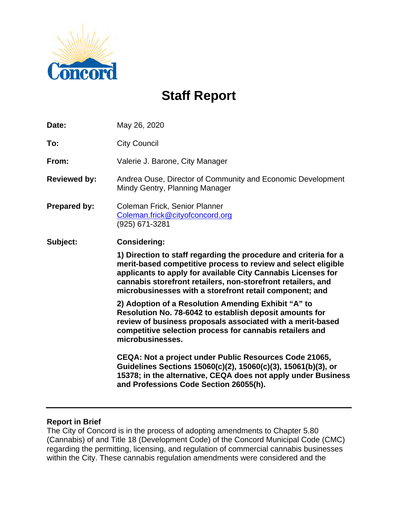

# **Staff Report**

| Date:               | May 26, 2020                                                                                                                                                                                                                                                                                                                 |  |
|---------------------|------------------------------------------------------------------------------------------------------------------------------------------------------------------------------------------------------------------------------------------------------------------------------------------------------------------------------|--|
| To:                 | <b>City Council</b>                                                                                                                                                                                                                                                                                                          |  |
| From:               | Valerie J. Barone, City Manager                                                                                                                                                                                                                                                                                              |  |
| <b>Reviewed by:</b> | Andrea Ouse, Director of Community and Economic Development<br>Mindy Gentry, Planning Manager                                                                                                                                                                                                                                |  |
| <b>Prepared by:</b> | Coleman Frick, Senior Planner<br>Coleman.frick@cityofconcord.org<br>(925) 671-3281                                                                                                                                                                                                                                           |  |
| Subject:            | <b>Considering:</b>                                                                                                                                                                                                                                                                                                          |  |
|                     | 1) Direction to staff regarding the procedure and criteria for a<br>merit-based competitive process to review and select eligible<br>applicants to apply for available City Cannabis Licenses for<br>cannabis storefront retailers, non-storefront retailers, and<br>microbusinesses with a storefront retail component; and |  |
|                     | 2) Adoption of a Resolution Amending Exhibit "A" to<br>Resolution No. 78-6042 to establish deposit amounts for<br>review of business proposals associated with a merit-based<br>competitive selection process for cannabis retailers and<br>microbusinesses.                                                                 |  |
|                     | CEQA: Not a project under Public Resources Code 21065,<br>Guidelines Sections 15060(c)(2), 15060(c)(3), 15061(b)(3), or<br>15378; in the alternative, CEQA does not apply under Business<br>and Professions Code Section 26055(h).                                                                                           |  |

#### **Report in Brief**

The City of Concord is in the process of adopting amendments to Chapter 5.80 (Cannabis) of and Title 18 (Development Code) of the Concord Municipal Code (CMC) regarding the permitting, licensing, and regulation of commercial cannabis businesses within the City. These cannabis regulation amendments were considered and the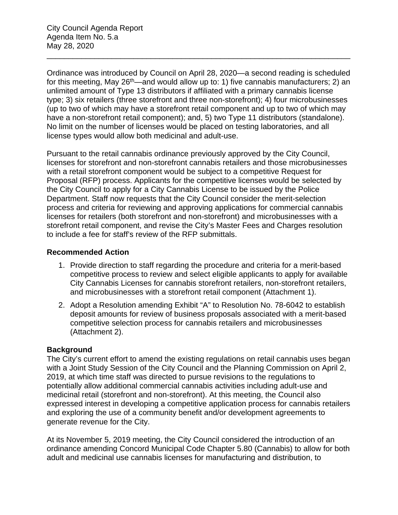City Council Agenda Report Agenda Item No. 5.a May 28, 2020

Ordinance was introduced by Council on April 28, 2020—a second reading is scheduled for this meeting, May 26<sup>th</sup>—and would allow up to: 1) five cannabis manufacturers; 2) an unlimited amount of Type 13 distributors if affiliated with a primary cannabis license type; 3) six retailers (three storefront and three non-storefront); 4) four microbusinesses (up to two of which may have a storefront retail component and up to two of which may have a non-storefront retail component); and, 5) two Type 11 distributors (standalone). No limit on the number of licenses would be placed on testing laboratories, and all license types would allow both medicinal and adult-use.

\_\_\_\_\_\_\_\_\_\_\_\_\_\_\_\_\_\_\_\_\_\_\_\_\_\_\_\_\_\_\_\_\_\_\_\_\_\_\_\_\_\_\_\_\_\_\_\_\_\_\_\_\_\_\_\_\_\_\_\_\_\_\_\_\_\_\_\_\_\_

Pursuant to the retail cannabis ordinance previously approved by the City Council, licenses for storefront and non-storefront cannabis retailers and those microbusinesses with a retail storefront component would be subject to a competitive Request for Proposal (RFP) process. Applicants for the competitive licenses would be selected by the City Council to apply for a City Cannabis License to be issued by the Police Department. Staff now requests that the City Council consider the merit-selection process and criteria for reviewing and approving applications for commercial cannabis licenses for retailers (both storefront and non-storefront) and microbusinesses with a storefront retail component, and revise the City's Master Fees and Charges resolution to include a fee for staff's review of the RFP submittals.

#### **Recommended Action**

- 1. Provide direction to staff regarding the procedure and criteria for a merit-based competitive process to review and select eligible applicants to apply for available City Cannabis Licenses for cannabis storefront retailers, non-storefront retailers, and microbusinesses with a storefront retail component (Attachment 1).
- 2. Adopt a Resolution amending Exhibit "A" to Resolution No. 78-6042 to establish deposit amounts for review of business proposals associated with a merit-based competitive selection process for cannabis retailers and microbusinesses (Attachment 2).

#### **Background**

The City's current effort to amend the existing regulations on retail cannabis uses began with a Joint Study Session of the City Council and the Planning Commission on April 2, 2019, at which time staff was directed to pursue revisions to the regulations to potentially allow additional commercial cannabis activities including adult-use and medicinal retail (storefront and non-storefront). At this meeting, the Council also expressed interest in developing a competitive application process for cannabis retailers and exploring the use of a community benefit and/or development agreements to generate revenue for the City.

At its November 5, 2019 meeting, the City Council considered the introduction of an ordinance amending Concord Municipal Code Chapter 5.80 (Cannabis) to allow for both adult and medicinal use cannabis licenses for manufacturing and distribution, to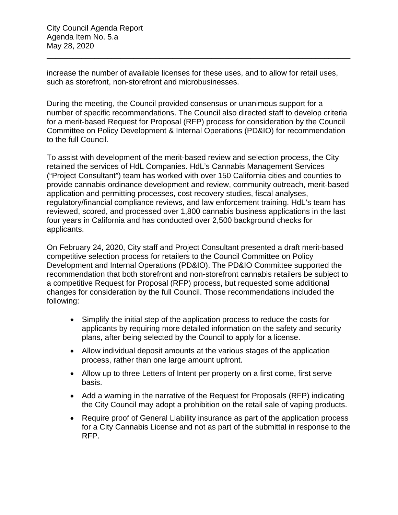City Council Agenda Report Agenda Item No. 5.a May 28, 2020

increase the number of available licenses for these uses, and to allow for retail uses, such as storefront, non-storefront and microbusinesses.

\_\_\_\_\_\_\_\_\_\_\_\_\_\_\_\_\_\_\_\_\_\_\_\_\_\_\_\_\_\_\_\_\_\_\_\_\_\_\_\_\_\_\_\_\_\_\_\_\_\_\_\_\_\_\_\_\_\_\_\_\_\_\_\_\_\_\_\_\_\_

During the meeting, the Council provided consensus or unanimous support for a number of specific recommendations. The Council also directed staff to develop criteria for a merit-based Request for Proposal (RFP) process for consideration by the Council Committee on Policy Development & Internal Operations (PD&IO) for recommendation to the full Council.

To assist with development of the merit-based review and selection process, the City retained the services of HdL Companies. HdL's Cannabis Management Services ("Project Consultant") team has worked with over 150 California cities and counties to provide cannabis ordinance development and review, community outreach, merit-based application and permitting processes, cost recovery studies, fiscal analyses, regulatory/financial compliance reviews, and law enforcement training. HdL's team has reviewed, scored, and processed over 1,800 cannabis business applications in the last four years in California and has conducted over 2,500 background checks for applicants.

On February 24, 2020, City staff and Project Consultant presented a draft merit-based competitive selection process for retailers to the Council Committee on Policy Development and Internal Operations (PD&IO). The PD&IO Committee supported the recommendation that both storefront and non-storefront cannabis retailers be subject to a competitive Request for Proposal (RFP) process, but requested some additional changes for consideration by the full Council. Those recommendations included the following:

- Simplify the initial step of the application process to reduce the costs for applicants by requiring more detailed information on the safety and security plans, after being selected by the Council to apply for a license.
- Allow individual deposit amounts at the various stages of the application process, rather than one large amount upfront.
- Allow up to three Letters of Intent per property on a first come, first serve basis.
- Add a warning in the narrative of the Request for Proposals (RFP) indicating the City Council may adopt a prohibition on the retail sale of vaping products.
- Require proof of General Liability insurance as part of the application process for a City Cannabis License and not as part of the submittal in response to the RFP.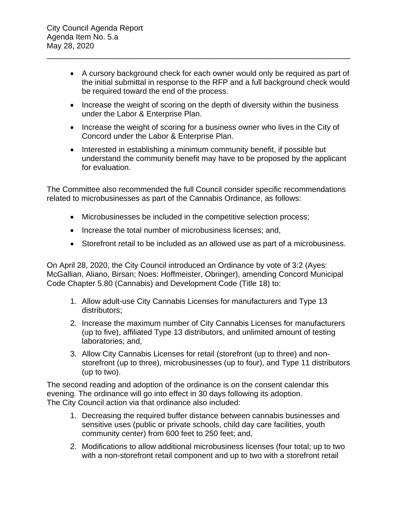- A cursory background check for each owner would only be required as part of the initial submittal in response to the RFP and a full background check would be required toward the end of the process.
- Increase the weight of scoring on the depth of diversity within the business under the Labor & Enterprise Plan.

\_\_\_\_\_\_\_\_\_\_\_\_\_\_\_\_\_\_\_\_\_\_\_\_\_\_\_\_\_\_\_\_\_\_\_\_\_\_\_\_\_\_\_\_\_\_\_\_\_\_\_\_\_\_\_\_\_\_\_\_\_\_\_\_\_\_\_\_\_\_

- Increase the weight of scoring for a business owner who lives in the City of Concord under the Labor & Enterprise Plan.
- Interested in establishing a minimum community benefit, if possible but understand the community benefit may have to be proposed by the applicant for evaluation.

The Committee also recommended the full Council consider specific recommendations related to microbusinesses as part of the Cannabis Ordinance, as follows:

- Microbusinesses be included in the competitive selection process;
- Increase the total number of microbusiness licenses; and,
- Storefront retail to be included as an allowed use as part of a microbusiness.

On April 28, 2020, the City Council introduced an Ordinance by vote of 3:2 (Ayes: McGallian, Aliano, Birsan; Noes: Hoffmeister, Obringer), amending Concord Municipal Code Chapter 5.80 (Cannabis) and Development Code (Title 18) to:

- 1. Allow adult-use City Cannabis Licenses for manufacturers and Type 13 distributors;
- 2. Increase the maximum number of City Cannabis Licenses for manufacturers (up to five), affiliated Type 13 distributors, and unlimited amount of testing laboratories; and,
- 3. Allow City Cannabis Licenses for retail (storefront (up to three) and nonstorefront (up to three), microbusinesses (up to four), and Type 11 distributors (up to two).

The second reading and adoption of the ordinance is on the consent calendar this evening. The ordinance will go into effect in 30 days following its adoption. The City Council action via that ordinance also included:

- 1. Decreasing the required buffer distance between cannabis businesses and sensitive uses (public or private schools, child day care facilities, youth community center) from 600 feet to 250 feet; and,
- 2. Modifications to allow additional microbusiness licenses (four total; up to two with a non-storefront retail component and up to two with a storefront retail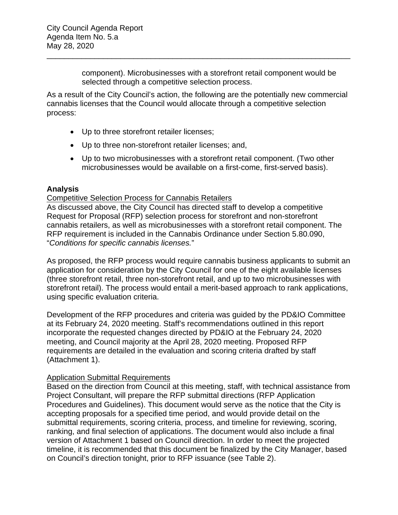component). Microbusinesses with a storefront retail component would be selected through a competitive selection process.

As a result of the City Council's action, the following are the potentially new commercial cannabis licenses that the Council would allocate through a competitive selection process:

\_\_\_\_\_\_\_\_\_\_\_\_\_\_\_\_\_\_\_\_\_\_\_\_\_\_\_\_\_\_\_\_\_\_\_\_\_\_\_\_\_\_\_\_\_\_\_\_\_\_\_\_\_\_\_\_\_\_\_\_\_\_\_\_\_\_\_\_\_\_

- Up to three storefront retailer licenses;
- Up to three non-storefront retailer licenses; and,
- Up to two microbusinesses with a storefront retail component. (Two other microbusinesses would be available on a first-come, first-served basis).

#### **Analysis**

#### Competitive Selection Process for Cannabis Retailers

As discussed above, the City Council has directed staff to develop a competitive Request for Proposal (RFP) selection process for storefront and non-storefront cannabis retailers, as well as microbusinesses with a storefront retail component. The RFP requirement is included in the Cannabis Ordinance under Section 5.80.090, "*Conditions for specific cannabis licenses.*"

As proposed, the RFP process would require cannabis business applicants to submit an application for consideration by the City Council for one of the eight available licenses (three storefront retail, three non-storefront retail, and up to two microbusinesses with storefront retail). The process would entail a merit-based approach to rank applications, using specific evaluation criteria.

Development of the RFP procedures and criteria was guided by the PD&IO Committee at its February 24, 2020 meeting. Staff's recommendations outlined in this report incorporate the requested changes directed by PD&IO at the February 24, 2020 meeting, and Council majority at the April 28, 2020 meeting. Proposed RFP requirements are detailed in the evaluation and scoring criteria drafted by staff (Attachment 1).

#### Application Submittal Requirements

Based on the direction from Council at this meeting, staff, with technical assistance from Project Consultant, will prepare the RFP submittal directions (RFP Application Procedures and Guidelines). This document would serve as the notice that the City is accepting proposals for a specified time period, and would provide detail on the submittal requirements, scoring criteria, process, and timeline for reviewing, scoring, ranking, and final selection of applications. The document would also include a final version of Attachment 1 based on Council direction. In order to meet the projected timeline, it is recommended that this document be finalized by the City Manager, based on Council's direction tonight, prior to RFP issuance (see Table 2).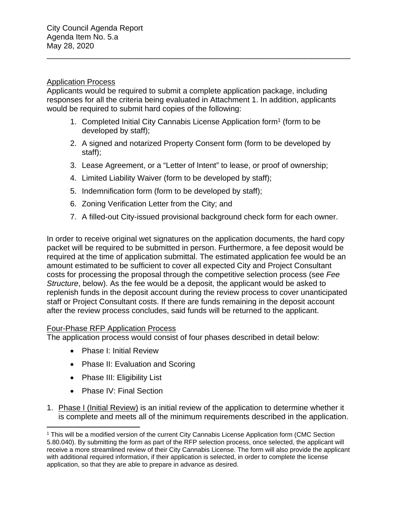#### Application Process

Applicants would be required to submit a complete application package, including responses for all the criteria being evaluated in Attachment 1. In addition, applicants would be required to submit hard copies of the following:

\_\_\_\_\_\_\_\_\_\_\_\_\_\_\_\_\_\_\_\_\_\_\_\_\_\_\_\_\_\_\_\_\_\_\_\_\_\_\_\_\_\_\_\_\_\_\_\_\_\_\_\_\_\_\_\_\_\_\_\_\_\_\_\_\_\_\_\_\_\_

- 1. Completed Initial City Cannabis License Application form<sup>1</sup> (form to be developed by staff);
- 2. A signed and notarized Property Consent form (form to be developed by staff);
- 3. Lease Agreement, or a "Letter of Intent" to lease, or proof of ownership;
- 4. Limited Liability Waiver (form to be developed by staff);
- 5. Indemnification form (form to be developed by staff);
- 6. Zoning Verification Letter from the City; and
- 7. A filled-out City-issued provisional background check form for each owner.

In order to receive original wet signatures on the application documents, the hard copy packet will be required to be submitted in person. Furthermore, a fee deposit would be required at the time of application submittal. The estimated application fee would be an amount estimated to be sufficient to cover all expected City and Project Consultant costs for processing the proposal through the competitive selection process (see *Fee Structure*, below). As the fee would be a deposit, the applicant would be asked to replenish funds in the deposit account during the review process to cover unanticipated staff or Project Consultant costs. If there are funds remaining in the deposit account after the review process concludes, said funds will be returned to the applicant.

#### Four-Phase RFP Application Process

The application process would consist of four phases described in detail below:

- Phase I: Initial Review
- Phase II: Evaluation and Scoring
- Phase III: Eligibility List
- Phase IV: Final Section
- 1. Phase I (Initial Review) is an initial review of the application to determine whether it is complete and meets all of the minimum requirements described in the application.

<sup>1</sup> This will be a modified version of the current City Cannabis License Application form (CMC Section 5.80.040). By submitting the form as part of the RFP selection process, once selected, the applicant will receive a more streamlined review of their City Cannabis License. The form will also provide the applicant with additional required information, if their application is selected, in order to complete the license application, so that they are able to prepare in advance as desired.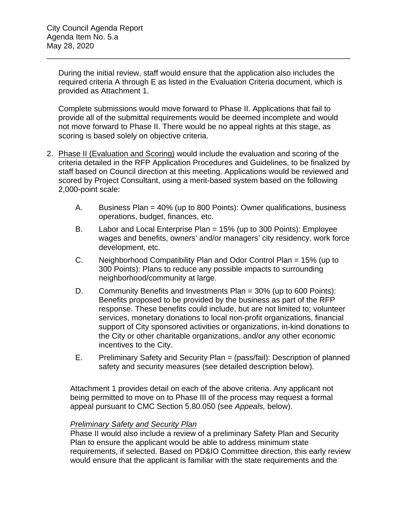During the initial review, staff would ensure that the application also includes the required criteria A through E as listed in the Evaluation Criteria document, which is provided as Attachment 1.

\_\_\_\_\_\_\_\_\_\_\_\_\_\_\_\_\_\_\_\_\_\_\_\_\_\_\_\_\_\_\_\_\_\_\_\_\_\_\_\_\_\_\_\_\_\_\_\_\_\_\_\_\_\_\_\_\_\_\_\_\_\_\_\_\_\_\_\_\_\_

Complete submissions would move forward to Phase II. Applications that fail to provide all of the submittal requirements would be deemed incomplete and would not move forward to Phase II. There would be no appeal rights at this stage, as scoring is based solely on objective criteria.

- 2. Phase II (Evaluation and Scoring) would include the evaluation and scoring of the criteria detailed in the RFP Application Procedures and Guidelines, to be finalized by staff based on Council direction at this meeting. Applications would be reviewed and scored by Project Consultant, using a merit-based system based on the following 2,000-point scale:
	- A. Business Plan = 40% (up to 800 Points): Owner qualifications, business operations, budget, finances, etc.
	- B. Labor and Local Enterprise Plan = 15% (up to 300 Points): Employee wages and benefits, owners' and/or managers' city residency, work force development, etc.
	- C. Neighborhood Compatibility Plan and Odor Control Plan = 15% (up to 300 Points): Plans to reduce any possible impacts to surrounding neighborhood/community at large.
	- D. Community Benefits and Investments Plan = 30% (up to 600 Points): Benefits proposed to be provided by the business as part of the RFP response. These benefits could include, but are not limited to; volunteer services, monetary donations to local non-profit organizations, financial support of City sponsored activities or organizations, in-kind donations to the City or other charitable organizations, and/or any other economic incentives to the City.
	- E. Preliminary Safety and Security Plan = (pass/fail): Description of planned safety and security measures (see detailed description below).

Attachment 1 provides detail on each of the above criteria. Any applicant not being permitted to move on to Phase III of the process may request a formal appeal pursuant to CMC Section 5.80.050 (see *Appeals,* below).

#### *Preliminary Safety and Security Plan*

Phase II would also include a review of a preliminary Safety Plan and Security Plan to ensure the applicant would be able to address minimum state requirements, if selected. Based on PD&IO Committee direction, this early review would ensure that the applicant is familiar with the state requirements and the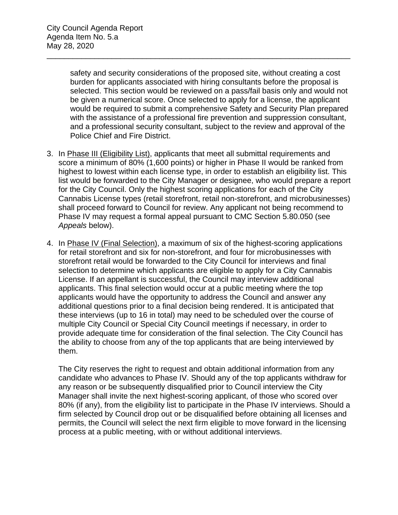safety and security considerations of the proposed site, without creating a cost burden for applicants associated with hiring consultants before the proposal is selected. This section would be reviewed on a pass/fail basis only and would not be given a numerical score. Once selected to apply for a license, the applicant would be required to submit a comprehensive Safety and Security Plan prepared with the assistance of a professional fire prevention and suppression consultant, and a professional security consultant, subject to the review and approval of the Police Chief and Fire District.

\_\_\_\_\_\_\_\_\_\_\_\_\_\_\_\_\_\_\_\_\_\_\_\_\_\_\_\_\_\_\_\_\_\_\_\_\_\_\_\_\_\_\_\_\_\_\_\_\_\_\_\_\_\_\_\_\_\_\_\_\_\_\_\_\_\_\_\_\_\_

- 3. In Phase III (Eligibility List), applicants that meet all submittal requirements and score a minimum of 80% (1,600 points) or higher in Phase II would be ranked from highest to lowest within each license type, in order to establish an eligibility list. This list would be forwarded to the City Manager or designee, who would prepare a report for the City Council. Only the highest scoring applications for each of the City Cannabis License types (retail storefront, retail non-storefront, and microbusinesses) shall proceed forward to Council for review. Any applicant not being recommend to Phase IV may request a formal appeal pursuant to CMC Section 5.80.050 (see *Appeals* below).
- 4. In Phase IV (Final Selection), a maximum of six of the highest-scoring applications for retail storefront and six for non-storefront, and four for microbusinesses with storefront retail would be forwarded to the City Council for interviews and final selection to determine which applicants are eligible to apply for a City Cannabis License. If an appellant is successful, the Council may interview additional applicants. This final selection would occur at a public meeting where the top applicants would have the opportunity to address the Council and answer any additional questions prior to a final decision being rendered. It is anticipated that these interviews (up to 16 in total) may need to be scheduled over the course of multiple City Council or Special City Council meetings if necessary, in order to provide adequate time for consideration of the final selection. The City Council has the ability to choose from any of the top applicants that are being interviewed by them.

The City reserves the right to request and obtain additional information from any candidate who advances to Phase IV. Should any of the top applicants withdraw for any reason or be subsequently disqualified prior to Council interview the City Manager shall invite the next highest-scoring applicant, of those who scored over 80% (if any), from the eligibility list to participate in the Phase IV interviews. Should a firm selected by Council drop out or be disqualified before obtaining all licenses and permits, the Council will select the next firm eligible to move forward in the licensing process at a public meeting, with or without additional interviews.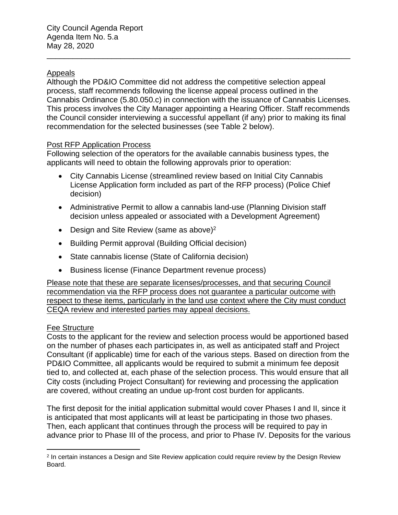#### Appeals

Although the PD&IO Committee did not address the competitive selection appeal process, staff recommends following the license appeal process outlined in the Cannabis Ordinance (5.80.050.c) in connection with the issuance of Cannabis Licenses. This process involves the City Manager appointing a Hearing Officer. Staff recommends the Council consider interviewing a successful appellant (if any) prior to making its final recommendation for the selected businesses (see Table 2 below).

\_\_\_\_\_\_\_\_\_\_\_\_\_\_\_\_\_\_\_\_\_\_\_\_\_\_\_\_\_\_\_\_\_\_\_\_\_\_\_\_\_\_\_\_\_\_\_\_\_\_\_\_\_\_\_\_\_\_\_\_\_\_\_\_\_\_\_\_\_\_

#### Post RFP Application Process

Following selection of the operators for the available cannabis business types, the applicants will need to obtain the following approvals prior to operation:

- City Cannabis License (streamlined review based on Initial City Cannabis License Application form included as part of the RFP process) (Police Chief decision)
- Administrative Permit to allow a cannabis land-use (Planning Division staff decision unless appealed or associated with a Development Agreement)
- $\bullet$  Design and Site Review (same as above)<sup>2</sup>
- Building Permit approval (Building Official decision)
- State cannabis license (State of California decision)
- Business license (Finance Department revenue process)

Please note that these are separate licenses/processes, and that securing Council recommendation via the RFP process does not guarantee a particular outcome with respect to these items, particularly in the land use context where the City must conduct CEQA review and interested parties may appeal decisions.

#### Fee Structure

Costs to the applicant for the review and selection process would be apportioned based on the number of phases each participates in, as well as anticipated staff and Project Consultant (if applicable) time for each of the various steps. Based on direction from the PD&IO Committee, all applicants would be required to submit a minimum fee deposit tied to, and collected at, each phase of the selection process. This would ensure that all City costs (including Project Consultant) for reviewing and processing the application are covered, without creating an undue up-front cost burden for applicants.

The first deposit for the initial application submittal would cover Phases I and II, since it is anticipated that most applicants will at least be participating in those two phases. Then, each applicant that continues through the process will be required to pay in advance prior to Phase III of the process, and prior to Phase IV. Deposits for the various

<sup>&</sup>lt;sup>2</sup> In certain instances a Design and Site Review application could require review by the Design Review Board.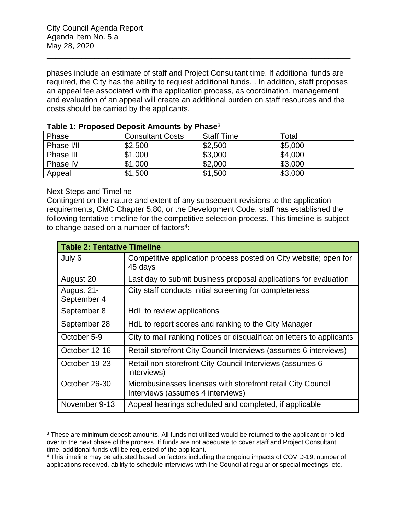phases include an estimate of staff and Project Consultant time. If additional funds are required, the City has the ability to request additional funds. . In addition, staff proposes an appeal fee associated with the application process, as coordination, management and evaluation of an appeal will create an additional burden on staff resources and the costs should be carried by the applicants.

\_\_\_\_\_\_\_\_\_\_\_\_\_\_\_\_\_\_\_\_\_\_\_\_\_\_\_\_\_\_\_\_\_\_\_\_\_\_\_\_\_\_\_\_\_\_\_\_\_\_\_\_\_\_\_\_\_\_\_\_\_\_\_\_\_\_\_\_\_\_

| Phase      | <b>Consultant Costs</b> | <b>Staff Time</b> | Total   |
|------------|-------------------------|-------------------|---------|
| Phase I/II | \$2,500                 | \$2,500           | \$5,000 |
| Phase III  | \$1,000                 | \$3,000           | \$4,000 |
| Phase IV   | \$1,000                 | \$2,000           | \$3,000 |
| Appeal     | \$1,500                 | \$1,500           | \$3,000 |

#### **Table 1: Proposed Deposit Amounts by Phase**<sup>3</sup>

#### Next Steps and Timeline

Contingent on the nature and extent of any subsequent revisions to the application requirements, CMC Chapter 5.80, or the Development Code, staff has established the following tentative timeline for the competitive selection process. This timeline is subject to change based on a number of factors<sup>4</sup>:

| <b>Table 2: Tentative Timeline</b> |                                                                                                   |  |  |  |
|------------------------------------|---------------------------------------------------------------------------------------------------|--|--|--|
| July 6                             | Competitive application process posted on City website; open for<br>45 days                       |  |  |  |
| August 20                          | Last day to submit business proposal applications for evaluation                                  |  |  |  |
| August 21-<br>September 4          | City staff conducts initial screening for completeness                                            |  |  |  |
| September 8                        | HdL to review applications                                                                        |  |  |  |
| September 28                       | HdL to report scores and ranking to the City Manager                                              |  |  |  |
| October 5-9                        | City to mail ranking notices or disqualification letters to applicants                            |  |  |  |
| October 12-16                      | Retail-storefront City Council Interviews (assumes 6 interviews)                                  |  |  |  |
| October 19-23                      | Retail non-storefront City Council Interviews (assumes 6<br>interviews)                           |  |  |  |
| October 26-30                      | Microbusinesses licenses with storefront retail City Council<br>Interviews (assumes 4 interviews) |  |  |  |
| November 9-13                      | Appeal hearings scheduled and completed, if applicable                                            |  |  |  |

<sup>&</sup>lt;sup>3</sup> These are minimum deposit amounts. All funds not utilized would be returned to the applicant or rolled over to the next phase of the process. If funds are not adequate to cover staff and Project Consultant time, additional funds will be requested of the applicant.

<sup>4</sup> This timeline may be adjusted based on factors including the ongoing impacts of COVID-19, number of applications received, ability to schedule interviews with the Council at regular or special meetings, etc.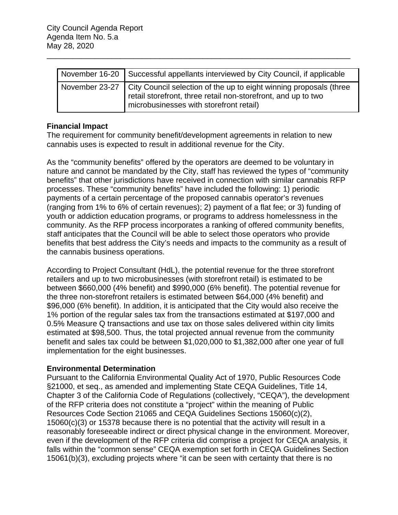| November 16-20 Successful appellants interviewed by City Council, if applicable                                                                                                               |
|-----------------------------------------------------------------------------------------------------------------------------------------------------------------------------------------------|
| November 23-27 City Council selection of the up to eight winning proposals (three<br>retail storefront, three retail non-storefront, and up to two<br>microbusinesses with storefront retail) |

\_\_\_\_\_\_\_\_\_\_\_\_\_\_\_\_\_\_\_\_\_\_\_\_\_\_\_\_\_\_\_\_\_\_\_\_\_\_\_\_\_\_\_\_\_\_\_\_\_\_\_\_\_\_\_\_\_\_\_\_\_\_\_\_\_\_\_\_\_\_

#### **Financial Impact**

The requirement for community benefit/development agreements in relation to new cannabis uses is expected to result in additional revenue for the City.

As the "community benefits" offered by the operators are deemed to be voluntary in nature and cannot be mandated by the City, staff has reviewed the types of "community benefits" that other jurisdictions have received in connection with similar cannabis RFP processes. These "community benefits" have included the following: 1) periodic payments of a certain percentage of the proposed cannabis operator's revenues (ranging from 1% to 6% of certain revenues); 2) payment of a flat fee; or 3) funding of youth or addiction education programs, or programs to address homelessness in the community. As the RFP process incorporates a ranking of offered community benefits, staff anticipates that the Council will be able to select those operators who provide benefits that best address the City's needs and impacts to the community as a result of the cannabis business operations.

According to Project Consultant (HdL), the potential revenue for the three storefront retailers and up to two microbusinesses (with storefront retail) is estimated to be between \$660,000 (4% benefit) and \$990,000 (6% benefit). The potential revenue for the three non-storefront retailers is estimated between \$64,000 (4% benefit) and \$96,000 (6% benefit). In addition, it is anticipated that the City would also receive the 1% portion of the regular sales tax from the transactions estimated at \$197,000 and 0.5% Measure Q transactions and use tax on those sales delivered within city limits estimated at \$98,500. Thus, the total projected annual revenue from the community benefit and sales tax could be between \$1,020,000 to \$1,382,000 after one year of full implementation for the eight businesses.

#### **Environmental Determination**

Pursuant to the California Environmental Quality Act of 1970, Public Resources Code §21000, et seq., as amended and implementing State CEQA Guidelines, Title 14, Chapter 3 of the California Code of Regulations (collectively, "CEQA"), the development of the RFP criteria does not constitute a "project" within the meaning of Public Resources Code Section 21065 and CEQA Guidelines Sections 15060(c)(2), 15060(c)(3) or 15378 because there is no potential that the activity will result in a reasonably foreseeable indirect or direct physical change in the environment. Moreover, even if the development of the RFP criteria did comprise a project for CEQA analysis, it falls within the "common sense" CEQA exemption set forth in CEQA Guidelines Section 15061(b)(3), excluding projects where "it can be seen with certainty that there is no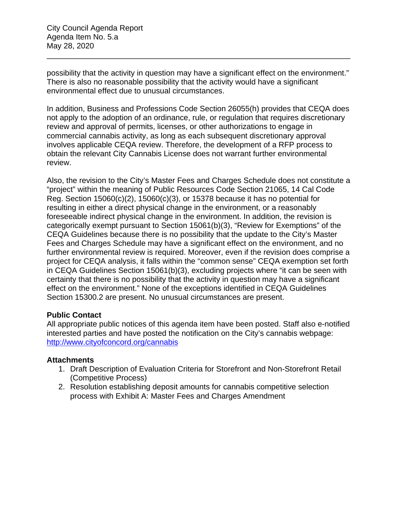City Council Agenda Report Agenda Item No. 5.a May 28, 2020

possibility that the activity in question may have a significant effect on the environment." There is also no reasonable possibility that the activity would have a significant environmental effect due to unusual circumstances.

\_\_\_\_\_\_\_\_\_\_\_\_\_\_\_\_\_\_\_\_\_\_\_\_\_\_\_\_\_\_\_\_\_\_\_\_\_\_\_\_\_\_\_\_\_\_\_\_\_\_\_\_\_\_\_\_\_\_\_\_\_\_\_\_\_\_\_\_\_\_

In addition, Business and Professions Code Section 26055(h) provides that CEQA does not apply to the adoption of an ordinance, rule, or regulation that requires discretionary review and approval of permits, licenses, or other authorizations to engage in commercial cannabis activity, as long as each subsequent discretionary approval involves applicable CEQA review. Therefore, the development of a RFP process to obtain the relevant City Cannabis License does not warrant further environmental review.

Also, the revision to the City's Master Fees and Charges Schedule does not constitute a "project" within the meaning of Public Resources Code Section 21065, 14 Cal Code Reg. Section  $15060(c)(2)$ ,  $15060(c)(3)$ , or  $15378$  because it has no potential for resulting in either a direct physical change in the environment, or a reasonably foreseeable indirect physical change in the environment. In addition, the revision is categorically exempt pursuant to Section 15061(b)(3), "Review for Exemptions" of the CEQA Guidelines because there is no possibility that the update to the City's Master Fees and Charges Schedule may have a significant effect on the environment, and no further environmental review is required. Moreover, even if the revision does comprise a project for CEQA analysis, it falls within the "common sense" CEQA exemption set forth in CEQA Guidelines Section 15061(b)(3), excluding projects where "it can be seen with certainty that there is no possibility that the activity in question may have a significant effect on the environment." None of the exceptions identified in CEQA Guidelines Section 15300.2 are present. No unusual circumstances are present.

#### **Public Contact**

All appropriate public notices of this agenda item have been posted. Staff also e-notified interested parties and have posted the notification on the City's cannabis webpage: <http://www.cityofconcord.org/cannabis>

#### **Attachments**

- 1. Draft Description of Evaluation Criteria for Storefront and Non-Storefront Retail (Competitive Process)
- 2. Resolution establishing deposit amounts for cannabis competitive selection process with Exhibit A: Master Fees and Charges Amendment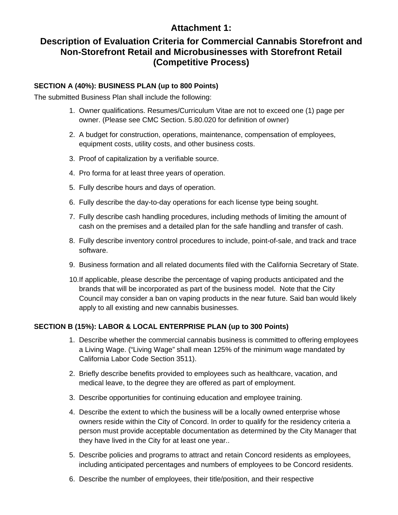## **Attachment 1:**

### **Description of Evaluation Criteria for Commercial Cannabis Storefront and Non-Storefront Retail and Microbusinesses with Storefront Retail (Competitive Process)**

#### **SECTION A (40%): BUSINESS PLAN (up to 800 Points)**

The submitted Business Plan shall include the following:

- 1. Owner qualifications. Resumes/Curriculum Vitae are not to exceed one (1) page per owner. (Please see CMC Section. 5.80.020 for definition of owner)
- 2. A budget for construction, operations, maintenance, compensation of employees, equipment costs, utility costs, and other business costs.
- 3. Proof of capitalization by a verifiable source.
- 4. Pro forma for at least three years of operation.
- 5. Fully describe hours and days of operation.
- 6. Fully describe the day-to-day operations for each license type being sought.
- 7. Fully describe cash handling procedures, including methods of limiting the amount of cash on the premises and a detailed plan for the safe handling and transfer of cash.
- 8. Fully describe inventory control procedures to include, point-of-sale, and track and trace software.
- 9. Business formation and all related documents filed with the California Secretary of State.
- 10.If applicable, please describe the percentage of vaping products anticipated and the brands that will be incorporated as part of the business model. Note that the City Council may consider a ban on vaping products in the near future. Said ban would likely apply to all existing and new cannabis businesses.

#### **SECTION B (15%): LABOR & LOCAL ENTERPRISE PLAN (up to 300 Points)**

- 1. Describe whether the commercial cannabis business is committed to offering employees a Living Wage. ("Living Wage" shall mean 125% of the minimum wage mandated by California Labor Code Section 3511).
- 2. Briefly describe benefits provided to employees such as healthcare, vacation, and medical leave, to the degree they are offered as part of employment.
- 3. Describe opportunities for continuing education and employee training.
- 4. Describe the extent to which the business will be a locally owned enterprise whose owners reside within the City of Concord. In order to qualify for the residency criteria a person must provide acceptable documentation as determined by the City Manager that they have lived in the City for at least one year..
- 5. Describe policies and programs to attract and retain Concord residents as employees, including anticipated percentages and numbers of employees to be Concord residents.
- 6. Describe the number of employees, their title/position, and their respective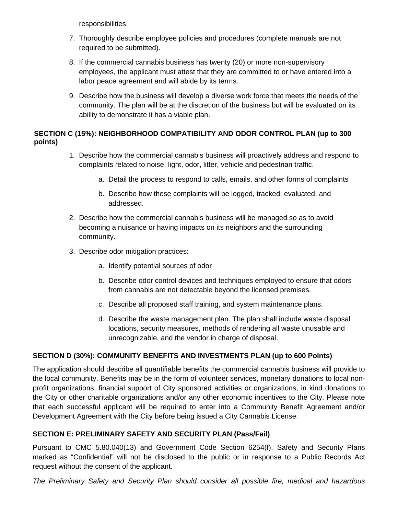responsibilities.

- 7. Thoroughly describe employee policies and procedures (complete manuals are not required to be submitted).
- 8. If the commercial cannabis business has twenty (20) or more non-supervisory employees, the applicant must attest that they are committed to or have entered into a labor peace agreement and will abide by its terms.
- 9. Describe how the business will develop a diverse work force that meets the needs of the community. The plan will be at the discretion of the business but will be evaluated on its ability to demonstrate it has a viable plan.

#### **SECTION C (15%): NEIGHBORHOOD COMPATIBILITY AND ODOR CONTROL PLAN (up to 300 points)**

- 1. Describe how the commercial cannabis business will proactively address and respond to complaints related to noise, light, odor, litter, vehicle and pedestrian traffic.
	- a. Detail the process to respond to calls, emails, and other forms of complaints
	- b. Describe how these complaints will be logged, tracked, evaluated, and addressed.
- 2. Describe how the commercial cannabis business will be managed so as to avoid becoming a nuisance or having impacts on its neighbors and the surrounding community.
- 3. Describe odor mitigation practices:
	- a. Identify potential sources of odor
	- b. Describe odor control devices and techniques employed to ensure that odors from cannabis are not detectable beyond the licensed premises.
	- c. Describe all proposed staff training, and system maintenance plans.
	- d. Describe the waste management plan. The plan shall include waste disposal locations, security measures, methods of rendering all waste unusable and unrecognizable, and the vendor in charge of disposal.

#### **SECTION D (30%): COMMUNITY BENEFITS AND INVESTMENTS PLAN (up to 600 Points)**

The application should describe all quantifiable benefits the commercial cannabis business will provide to the local community. Benefits may be in the form of volunteer services, monetary donations to local nonprofit organizations, financial support of City sponsored activities or organizations, in kind donations to the City or other charitable organizations and/or any other economic incentives to the City. Please note that each successful applicant will be required to enter into a Community Benefit Agreement and/or Development Agreement with the City before being issued a City Cannabis License.

#### **SECTION E: PRELIMINARY SAFETY AND SECURITY PLAN (Pass/Fail)**

Pursuant to CMC 5.80.040(13) and Government Code Section 6254(f), Safety and Security Plans marked as "Confidential" will not be disclosed to the public or in response to a Public Records Act request without the consent of the applicant.

*The Preliminary Safety and Security Plan should consider all possible fire, medical and hazardous*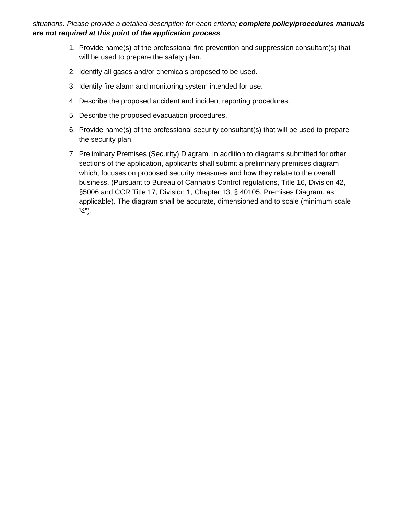*situations. Please provide a detailed description for each criteria; complete policy/procedures manuals are not required at this point of the application process.*

- 1. Provide name(s) of the professional fire prevention and suppression consultant(s) that will be used to prepare the safety plan.
- 2. Identify all gases and/or chemicals proposed to be used.
- 3. Identify fire alarm and monitoring system intended for use.
- 4. Describe the proposed accident and incident reporting procedures.
- 5. Describe the proposed evacuation procedures.
- 6. Provide name(s) of the professional security consultant(s) that will be used to prepare the security plan.
- 7. Preliminary Premises (Security) Diagram. In addition to diagrams submitted for other sections of the application, applicants shall submit a preliminary premises diagram which, focuses on proposed security measures and how they relate to the overall business. (Pursuant to Bureau of Cannabis Control regulations, Title 16, Division 42, §5006 and CCR Title 17, Division 1, Chapter 13, § 40105, Premises Diagram, as applicable). The diagram shall be accurate, dimensioned and to scale (minimum scale  $\frac{1}{4}$ ").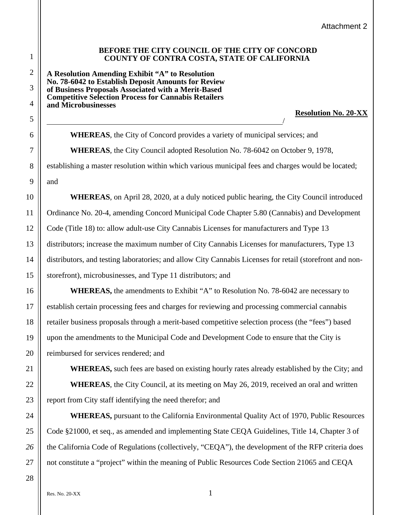#### **BEFORE THE CITY COUNCIL OF THE CITY OF CONCORD COUNTY OF CONTRA COSTA, STATE OF CALIFORNIA**

**A Resolution Amending Exhibit "A" to Resolution No. 78-6042 to Establish Deposit Amounts for Review of Business Proposals Associated with a Merit-Based Competitive Selection Process for Cannabis Retailers and Microbusinesses**

**Resolution No. 20-XX**

 $\overline{\phantom{a}}$ 

**WHEREAS**, the City of Concord provides a variety of municipal services; and

**WHEREAS**, the City Council adopted Resolution No. 78-6042 on October 9, 1978,

establishing a master resolution within which various municipal fees and charges would be located; and

**WHEREAS**, on April 28, 2020, at a duly noticed public hearing, the City Council introduced Ordinance No. 20-4, amending Concord Municipal Code Chapter 5.80 (Cannabis) and Development Code (Title 18) to: allow adult-use City Cannabis Licenses for manufacturers and Type 13 distributors; increase the maximum number of City Cannabis Licenses for manufacturers, Type 13 distributors, and testing laboratories; and allow City Cannabis Licenses for retail (storefront and nonstorefront), microbusinesses, and Type 11 distributors; and

**WHEREAS,** the amendments to Exhibit "A" to Resolution No. 78-6042 are necessary to establish certain processing fees and charges for reviewing and processing commercial cannabis retailer business proposals through a merit-based competitive selection process (the "fees") based upon the amendments to the Municipal Code and Development Code to ensure that the City is reimbursed for services rendered; and

**WHEREAS,** such fees are based on existing hourly rates already established by the City; and

**WHEREAS**, the City Council, at its meeting on May 26, 2019, received an oral and written report from City staff identifying the need therefor; and

**WHEREAS,** pursuant to the California Environmental Quality Act of 1970, Public Resources Code §21000, et seq., as amended and implementing State CEQA Guidelines, Title 14, Chapter 3 of the California Code of Regulations (collectively, "CEQA"), the development of the RFP criteria does not constitute a "project" within the meaning of Public Resources Code Section 21065 and CEQA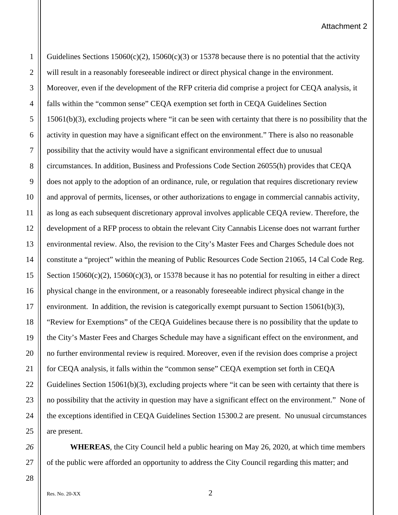Guidelines Sections  $15060(c)(2)$ ,  $15060(c)(3)$  or  $15378$  because there is no potential that the activity will result in a reasonably foreseeable indirect or direct physical change in the environment. Moreover, even if the development of the RFP criteria did comprise a project for CEQA analysis, it falls within the "common sense" CEQA exemption set forth in CEQA Guidelines Section 15061(b)(3), excluding projects where "it can be seen with certainty that there is no possibility that the activity in question may have a significant effect on the environment." There is also no reasonable possibility that the activity would have a significant environmental effect due to unusual circumstances. In addition, Business and Professions Code Section 26055(h) provides that CEQA does not apply to the adoption of an ordinance, rule, or regulation that requires discretionary review and approval of permits, licenses, or other authorizations to engage in commercial cannabis activity, as long as each subsequent discretionary approval involves applicable CEQA review. Therefore, the development of a RFP process to obtain the relevant City Cannabis License does not warrant further environmental review. Also, the revision to the City's Master Fees and Charges Schedule does not constitute a "project" within the meaning of Public Resources Code Section 21065, 14 Cal Code Reg. Section  $15060(c)(2)$ ,  $15060(c)(3)$ , or  $15378$  because it has no potential for resulting in either a direct physical change in the environment, or a reasonably foreseeable indirect physical change in the environment. In addition, the revision is categorically exempt pursuant to Section 15061(b)(3), "Review for Exemptions" of the CEQA Guidelines because there is no possibility that the update to the City's Master Fees and Charges Schedule may have a significant effect on the environment, and no further environmental review is required. Moreover, even if the revision does comprise a project for CEQA analysis, it falls within the "common sense" CEQA exemption set forth in CEQA Guidelines Section 15061(b)(3), excluding projects where "it can be seen with certainty that there is no possibility that the activity in question may have a significant effect on the environment." None of the exceptions identified in CEQA Guidelines Section 15300.2 are present. No unusual circumstances are present.

**WHEREAS**, the City Council held a public hearing on May 26, 2020, at which time members of the public were afforded an opportunity to address the City Council regarding this matter; and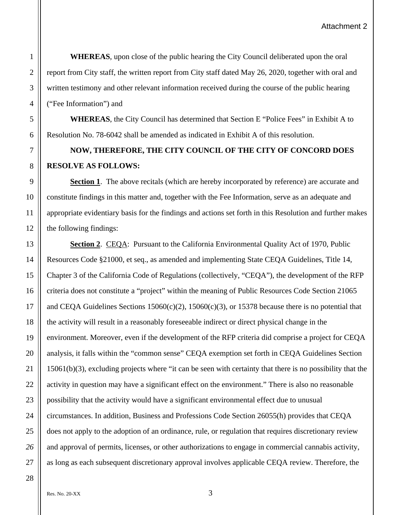**WHEREAS**, upon close of the public hearing the City Council deliberated upon the oral report from City staff, the written report from City staff dated May 26, 2020, together with oral and written testimony and other relevant information received during the course of the public hearing ("Fee Information") and

**WHEREAS**, the City Council has determined that Section E "Police Fees" in Exhibit A to Resolution No. 78-6042 shall be amended as indicated in Exhibit A of this resolution.

## **NOW, THEREFORE, THE CITY COUNCIL OF THE CITY OF CONCORD DOES RESOLVE AS FOLLOWS:**

**Section 1**. The above recitals (which are hereby incorporated by reference) are accurate and constitute findings in this matter and, together with the Fee Information, serve as an adequate and appropriate evidentiary basis for the findings and actions set forth in this Resolution and further makes the following findings:

**Section 2**. CEQA: Pursuant to the California Environmental Quality Act of 1970, Public Resources Code §21000, et seq., as amended and implementing State CEQA Guidelines, Title 14, Chapter 3 of the California Code of Regulations (collectively, "CEQA"), the development of the RFP criteria does not constitute a "project" within the meaning of Public Resources Code Section 21065 and CEQA Guidelines Sections  $15060(c)(2)$ ,  $15060(c)(3)$ , or  $15378$  because there is no potential that the activity will result in a reasonably foreseeable indirect or direct physical change in the environment. Moreover, even if the development of the RFP criteria did comprise a project for CEQA analysis, it falls within the "common sense" CEQA exemption set forth in CEQA Guidelines Section 15061(b)(3), excluding projects where "it can be seen with certainty that there is no possibility that the activity in question may have a significant effect on the environment." There is also no reasonable possibility that the activity would have a significant environmental effect due to unusual circumstances. In addition, Business and Professions Code Section 26055(h) provides that CEQA does not apply to the adoption of an ordinance, rule, or regulation that requires discretionary review and approval of permits, licenses, or other authorizations to engage in commercial cannabis activity, as long as each subsequent discretionary approval involves applicable CEQA review. Therefore, the

1

2

3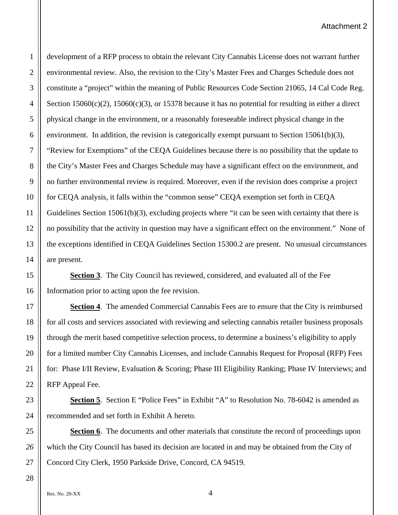development of a RFP process to obtain the relevant City Cannabis License does not warrant further environmental review. Also, the revision to the City's Master Fees and Charges Schedule does not constitute a "project" within the meaning of Public Resources Code Section 21065, 14 Cal Code Reg. Section  $15060(c)(2)$ ,  $15060(c)(3)$ , or  $15378$  because it has no potential for resulting in either a direct physical change in the environment, or a reasonably foreseeable indirect physical change in the environment. In addition, the revision is categorically exempt pursuant to Section  $15061(b)(3)$ , "Review for Exemptions" of the CEQA Guidelines because there is no possibility that the update to the City's Master Fees and Charges Schedule may have a significant effect on the environment, and no further environmental review is required. Moreover, even if the revision does comprise a project for CEQA analysis, it falls within the "common sense" CEQA exemption set forth in CEQA Guidelines Section 15061(b)(3), excluding projects where "it can be seen with certainty that there is no possibility that the activity in question may have a significant effect on the environment." None of the exceptions identified in CEQA Guidelines Section 15300.2 are present. No unusual circumstances are present.

**Section 3**. The City Council has reviewed, considered, and evaluated all of the Fee Information prior to acting upon the fee revision.

**Section 4.** The amended Commercial Cannabis Fees are to ensure that the City is reimbursed for all costs and services associated with reviewing and selecting cannabis retailer business proposals through the merit based competitive selection process, to determine a business's eligibility to apply for a limited number City Cannabis Licenses, and include Cannabis Request for Proposal (RFP) Fees for: Phase I/II Review, Evaluation & Scoring; Phase III Eligibility Ranking; Phase IV Interviews; and RFP Appeal Fee.

**Section 5**. Section E "Police Fees" in Exhibit "A" to Resolution No. 78-6042 is amended as recommended and set forth in Exhibit A hereto.

**Section 6**. The documents and other materials that constitute the record of proceedings upon which the City Council has based its decision are located in and may be obtained from the City of Concord City Clerk, 1950 Parkside Drive, Concord, CA 94519.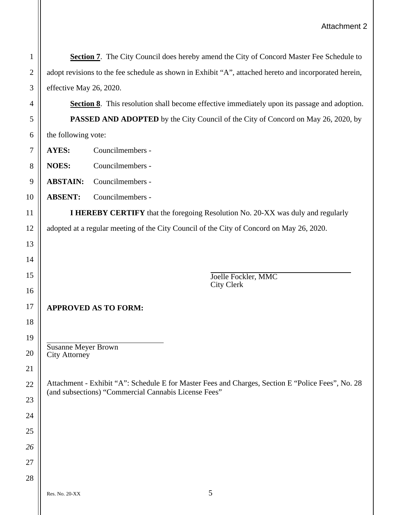| <b>Section 7.</b> The City Council does hereby amend the City of Concord Master Fee Schedule to       |
|-------------------------------------------------------------------------------------------------------|
| adopt revisions to the fee schedule as shown in Exhibit "A", attached hereto and incorporated herein, |
| effective May 26, 2020.                                                                               |
| <b>Section 8.</b> This resolution shall become effective immediately upon its passage and adoption.   |
| <b>PASSED AND ADOPTED</b> by the City Council of the City of Concord on May 26, 2020, by              |

the following vote:

1

2

3

4

5

6

7

8

11

12

13

14

15

16

17

18

19

20

21

22

23

24

25

*26*

27

**AYES:** Councilmembers -

**NOES:** Councilmembers -

9 **ABSTAIN:** Councilmembers -

10 **ABSENT:** Councilmembers -

**I HEREBY CERTIFY** that the foregoing Resolution No. 20-XX was duly and regularly adopted at a regular meeting of the City Council of the City of Concord on May 26, 2020.

> Joelle Fockler, MMC City Clerk

#### **APPROVED AS TO FORM:**

Susanne Meyer Brown City Attorney

Attachment - Exhibit "A": Schedule E for Master Fees and Charges, Section E "Police Fees", No. 28 (and subsections) "Commercial Cannabis License Fees"

28